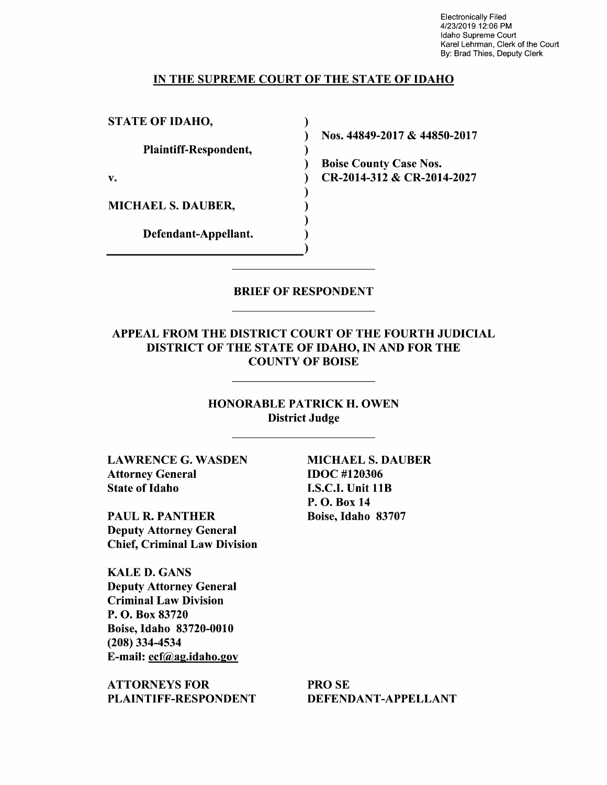Electronically Filed 4/23/2019 12:06 PM Idaho Supreme Court Karel Lehrman, Clerk of the Court By: Brad Thies, Deputy Clerk

#### IN THE SUPREME COURT OF THE STATE OF IDAHO

 $\lambda$  $\lambda$  $\mathcal{E}$  $\mathcal{L}$ 

 $\mathbf{)}$  $\mathbf{)}$  $\lambda$ ſ

STATE OF IDAHO,

Plaintiff—Respondent,

MICHAEL S. DAUBER,

Defendant—Appellant.

Nos. 44849-2017 & 44850-2017

Boise County Case Nos. v. CR-2014-312 & CR-2014-2027

#### BRIEF OF RESPONDENT

# APPEAL FROM THE DISTRICT COURT OF THE FOURTH JUDICIAL DISTRICT OF THE STATE OF IDAHO, IN AND FOR THE COUNTY OF BOISE

HONORABLE PATRICK H. OWEN District Judge

LAWRENCE G. WASDEN MICHAEL S. DAUBER Attorney General **IDOC** #120306 State of Idaho I.S.C.I. Unit 11B

PAUL R. PANTHER Boise, Idaho 83707 Deputy Attorney General Chief, Criminal Law Division

KALE D. GANS Deputy Attorney General Criminal Law Division P. O. Box 83720 Boise, Idaho 83720-0010 (208) 334-4534 E-mail: ecf@ag.idaho.gov

ATTORNEYS FOR PRO SE PLAINTIFF-RESPONDENT DEFENDANT-APPELLANT

P. O. Box 14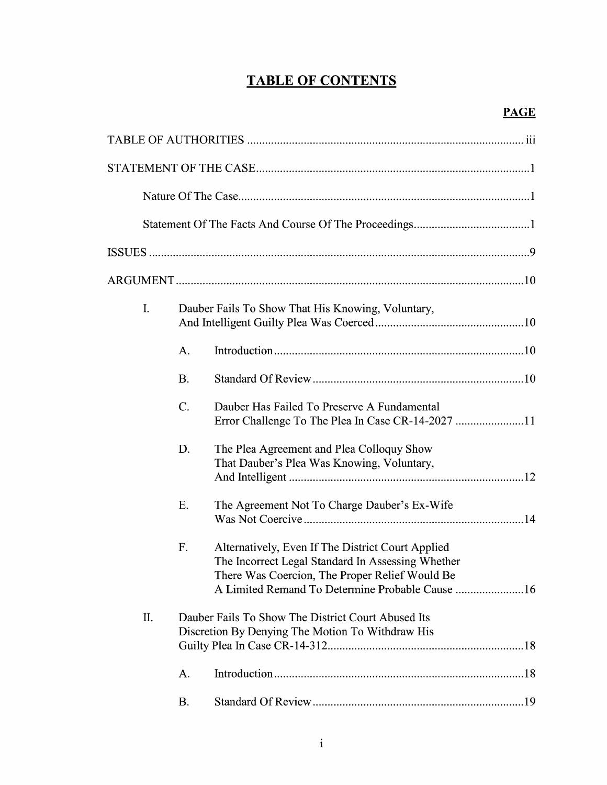## TABLE OF CONTENTS

| I. |                                                                                                        | Dauber Fails To Show That His Knowing, Voluntary,                                                                                                                                                           |  |  |  |
|----|--------------------------------------------------------------------------------------------------------|-------------------------------------------------------------------------------------------------------------------------------------------------------------------------------------------------------------|--|--|--|
|    | A.                                                                                                     |                                                                                                                                                                                                             |  |  |  |
|    | <b>B.</b>                                                                                              |                                                                                                                                                                                                             |  |  |  |
|    | $\mathcal{C}$ .                                                                                        | Dauber Has Failed To Preserve A Fundamental                                                                                                                                                                 |  |  |  |
|    | D.                                                                                                     | The Plea Agreement and Plea Colloquy Show<br>That Dauber's Plea Was Knowing, Voluntary,                                                                                                                     |  |  |  |
|    | E.                                                                                                     | The Agreement Not To Charge Dauber's Ex-Wife                                                                                                                                                                |  |  |  |
|    | F.                                                                                                     | Alternatively, Even If The District Court Applied<br>The Incorrect Legal Standard In Assessing Whether<br>There Was Coercion, The Proper Relief Would Be<br>A Limited Remand To Determine Probable Cause 16 |  |  |  |
| Π. | Dauber Fails To Show The District Court Abused Its<br>Discretion By Denying The Motion To Withdraw His |                                                                                                                                                                                                             |  |  |  |
|    | A.                                                                                                     |                                                                                                                                                                                                             |  |  |  |
|    | <b>B.</b>                                                                                              |                                                                                                                                                                                                             |  |  |  |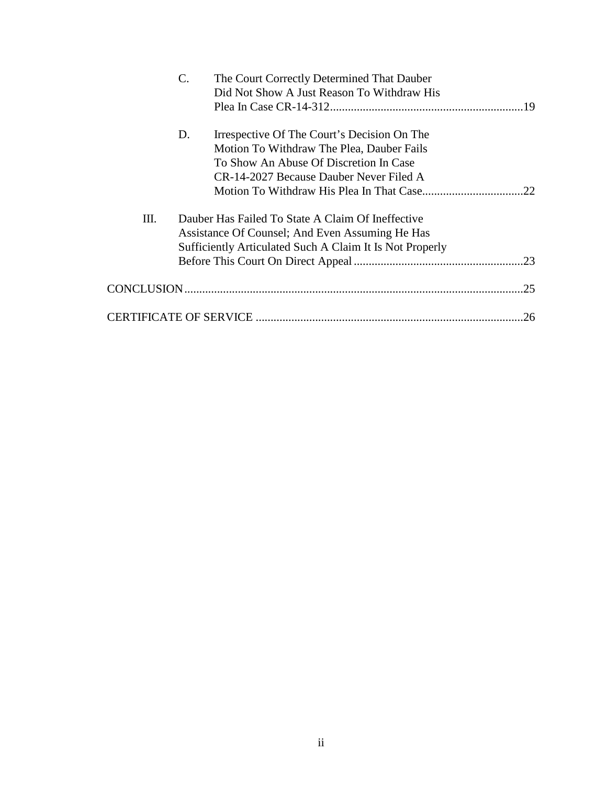|    | $\mathbf{C}$ . | The Court Correctly Determined That Dauber               |    |
|----|----------------|----------------------------------------------------------|----|
|    |                | Did Not Show A Just Reason To Withdraw His               |    |
|    |                |                                                          |    |
|    | D.             | Irrespective Of The Court's Decision On The              |    |
|    |                | Motion To Withdraw The Plea, Dauber Fails                |    |
|    |                | To Show An Abuse Of Discretion In Case                   |    |
|    |                | CR-14-2027 Because Dauber Never Filed A                  |    |
|    |                |                                                          | 22 |
| Ш. |                | Dauber Has Failed To State A Claim Of Ineffective        |    |
|    |                | Assistance Of Counsel; And Even Assuming He Has          |    |
|    |                | Sufficiently Articulated Such A Claim It Is Not Properly |    |
|    |                |                                                          |    |
|    |                |                                                          | 25 |
|    |                |                                                          | 26 |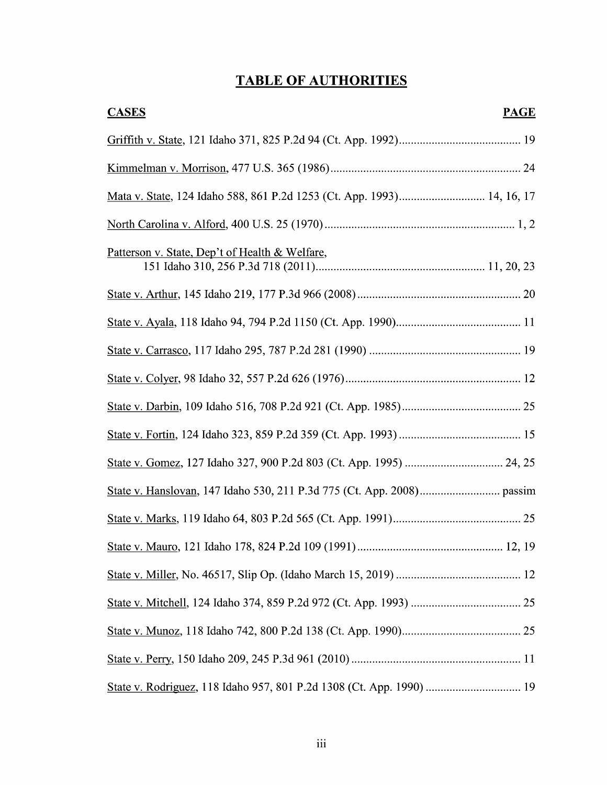## TABLE OF AUTHORITIES

| <b>PAGE</b><br><b>CASES</b>                                            |
|------------------------------------------------------------------------|
|                                                                        |
|                                                                        |
| Mata v. State, 124 Idaho 588, 861 P.2d 1253 (Ct. App. 1993) 14, 16, 17 |
|                                                                        |
| Patterson v. State, Dep't of Health & Welfare,                         |
|                                                                        |
|                                                                        |
|                                                                        |
|                                                                        |
|                                                                        |
|                                                                        |
|                                                                        |
|                                                                        |
|                                                                        |
|                                                                        |
|                                                                        |
|                                                                        |
|                                                                        |
|                                                                        |
| State v. Rodriguez, 118 Idaho 957, 801 P.2d 1308 (Ct. App. 1990)  19   |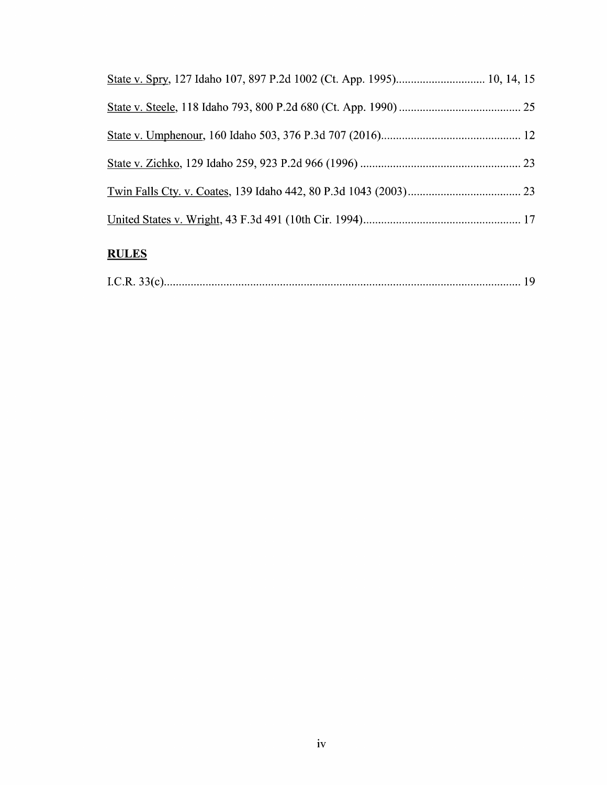## **RULES**

|--|--|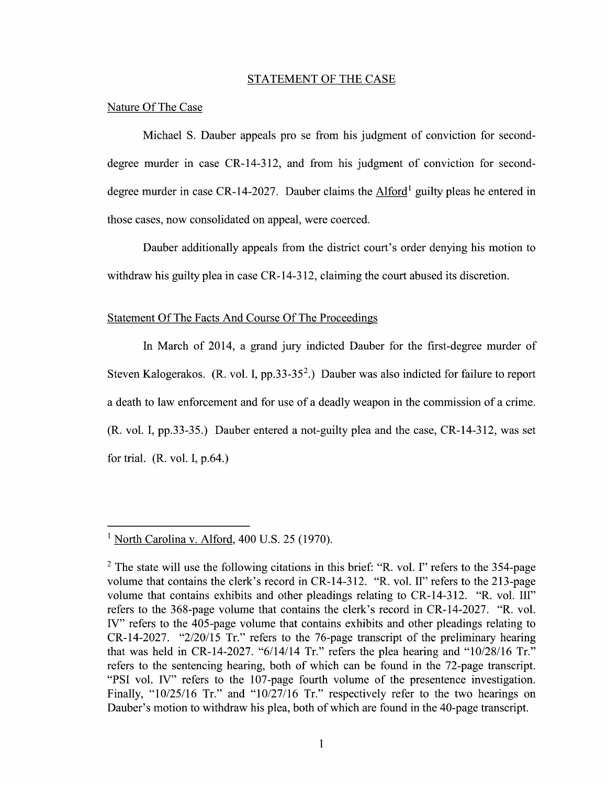#### STATEMENT OF THE CASE

#### Nature Of The Case

Michael S. Dauber appeals pro se from his judgment of conviction for seconddegree murder in case CR-14-312, and from his judgment of conviction for seconddegree murder in case CR-14-2027. Dauber claims the  $Alford<sup>1</sup>$  guilty pleas he entered in those cases, now consolidated on appeal, were coerced.

Dauber additionally appeals from the district court's order denying his motion to withdraw his guilty plea in case CR-14-312, claiming the court abused its discretion.

#### Statement Of The Facts And Course Of The Proceedings

In March of 2014, a grand jury indicted Dauber for the first-degree murder of Steven Kalogerakos. (R. vol. I, pp.33-35<sup>2</sup>.) Dauber was also indicted for failure to report a death to law enforcement and for use of a deadly weapon in the commission of a crime.  $(R. vol. I, pp.33-35.)$  Dauber entered a not-guilty plea and the case,  $CR-14-312$ , was set for trial.  $(R. vol. I, p.64.)$ 

<sup>&</sup>lt;sup>1</sup> North Carolina v. Alford,  $400$  U.S. 25 (1970).

The state Will use the following citations in this brief: "R. V01. I" refers to the 354-page volume that contains the clerk's record in CR-14-312. "R. V01. II" refers to the 213-page volume that contains exhibits and other pleadings relating to CR-14-312. "R. vol. III" refers t0 the 368-page volume that contains the clerk's record in CR-14-2027. "R. V01. IV" refers to the 405-page volume that contains exhibits and other pleadings relating to CR-14-2027. "2/20/15 Tr." refers t0 the 76-page transcript of the preliminary hearing that was held in CR-14-2027. " $6/14/14$  Tr." refers the plea hearing and " $10/28/16$  Tr." refers to the sentencing hearing, both of which can be found in the 72-page transcript. "PSI vol. IV" refers to the 107-page fourth volume of the presentence investigation. Finally, "10/25/16 Tr." and "10/27/16 Tr." respectively refer to the two hearings on Dauber's motion to withdraw his plea, both of which are found in the 40-page transcript.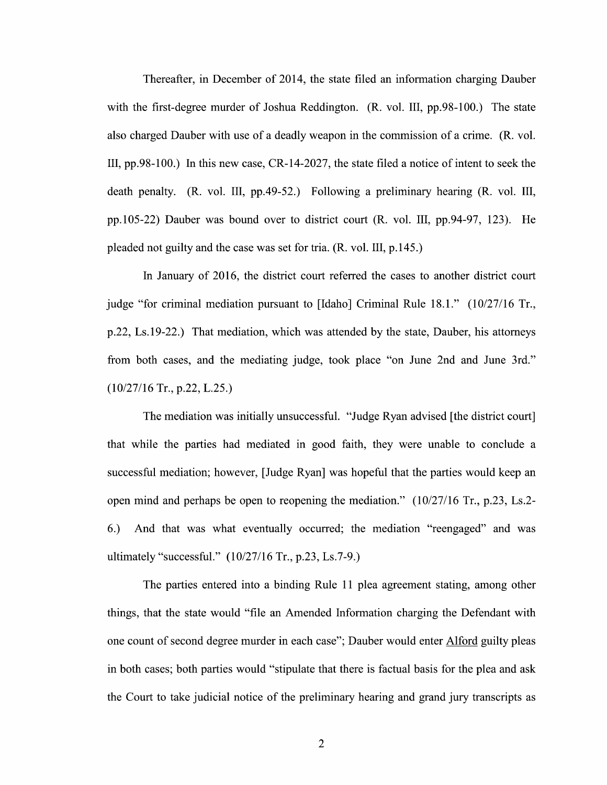Thereafter, in December 0f 2014, the state filed an information charging Dauber with the first-degree murder of Joshua Reddington. (R. vol. III, pp.98-100.) The state also charged Dauber with use of a deadly weapon in the commission of a crime. (R. vol. III, pp.98-100.) In this new case,  $CR-14-2027$ , the state filed a notice of intent to seek the death penalty.  $(R. \text{ vol. III}, \text{ pp.49-52.})$  Following a preliminary hearing  $(R. \text{ vol. III},$ pp.105-22) Dauber was bound over to district court (R. V01. III, pp.94-97, 123). He pleaded not guilty and the case was set for tria. (R. V01. III, p. 145.)

In January 0f 2016, the district court referred the cases to another district court judge "for criminal mediation pursuant to [Idaho] Criminal Rule  $18.1$ ." ( $10/27/16$  Tr., p.22, Ls.19-22.) That mediation, which was attended by the state, Dauber, his attorneys from both cases, and the mediating judge, took place "0n June 2nd and June 3rd."  $(10/27/16$  Tr., p.22, L.25.)

The mediation was initially unsuccessful. "Judge Ryan advised [the district court] that while the parties had mediated in good faith, they were unable to conclude a successful mediation; however, [Judge Ryan] was hopeful that the parties would keep an open mind and perhaps be open to reopening the mediation."  $(10/27/16)$  Tr., p.23, Ls.2-6.) And that was what eventually occurred; the mediation "reengaged" and was ultimately "successfill." (10/27/16 Tr., p.23, Ls.7-9.)

The parties entered into a binding Rule 11 plea agreement stating, among other things, that the state would "file an Amended Information charging the Defendant with one count of second degree murder in each case"; Dauber would enter Alford guilty pleas in both cases; both parties would "stipulate that there is factual basis for the plea and ask the Court to take judicial notice of the preliminary hearing and grand jury transcripts as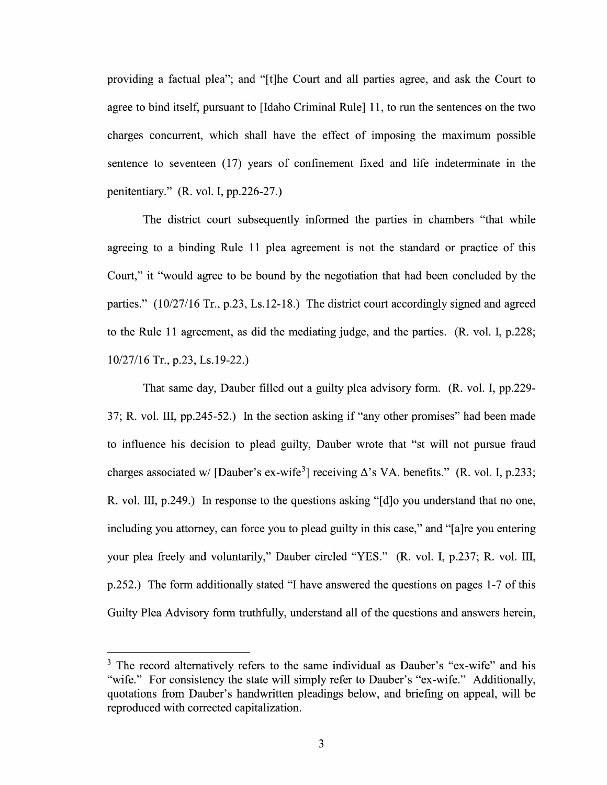providing a factual plea"; and "[t]he Court and all parties agree, and ask the Court to agree to bind itself, pursuant to [Idaho Criminal Rule] 11, to run the sentences on the two charges concurrent, Which shall have the effect of imposing the maximum possible sentence to seventeen (17) years of confinement fixed and life indeterminate in the penitentiary." (R. V01. I, pp.226-27.)

The district court subsequently informed the parties in chambers "that While agreeing to a binding Rule 11 plea agreement is not the standard or practice of this Court," it "would agree to be bound by the negotiation that had been concluded by the parties." (10/27/16 Tr., p.23, Ls.12-18.) The district court accordingly signed and agreed to the Rule 11 agreement, as did the mediating judge, and the parties. (R. V01. I, p.228; 10/27/16 Tr., p.23, Ls.19-22.)

That same day, Dauber filled out a guilty plea advisory form. (R. vol. I, pp.229-37; R. V01. III, pp.245-52.) In the section asking if "any other promises" had been made to influence his decision to plead guilty, Dauber wrote that "st will not pursue fraud charges associated w/ [Dauber's ex-wife<sup>3</sup>] receiving  $\Delta$ 's VA. benefits." (R. vol. I, p.233; R. vol. III, p.249.) In response to the questions asking " $\lfloor d \rfloor$ o you understand that no one, including you attorney, can force you to plead guilty in this case," and "[a]re you entering your plea freely and voluntarily," Dauber circled "YES." (R. vol. I, p.237; R. vol. III, p.252.) The form additionally stated "I have answered the questions on pages 1-7 of this p.252.) The form additionally stated "I have answered the questions on pages 1-7 of this Guilty Plea Advisory form truthfully, understand all 0f the questions and answers herein,

<sup>&</sup>lt;sup>3</sup> The record alternatively refers to the same individual as Dauber's "ex-wife" and his "wife." For consistency the state will simply refer to Dauber's "ex-wife." Additionally, quotations from Dauber's handwritten pleadings below, and briefing 0n appeal, will be reproduced with corrected capitalization.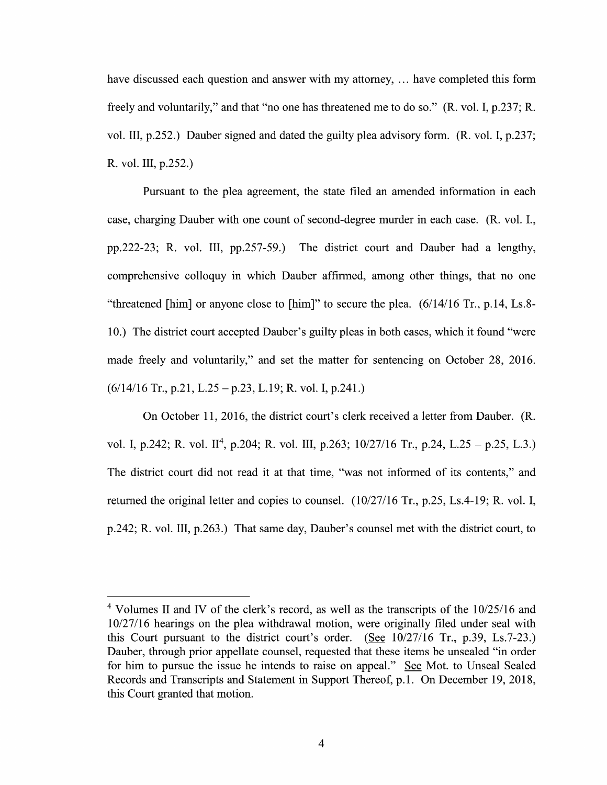have discussed each question and answer with my attorney,  $\dots$  have completed this form freely and voluntarily," and that "no one has threatened me tod0 so." (R. V01. I, p.237; R. vol. III, p.252.) Dauber signed and dated the guilty plea advisory form. (R. vol. I, p.237; R. V01. III, p.252.)

Pursuant to the plea agreement, the state filed an amended information in each case, charging Dauber with one count of second-degree murder in each case. (R. vol. I., pp.222-23; R. vol. III, pp.257-59.) The district court and Dauber had a lengthy, comprehensive colloquy in which Dauber affirmed, among other things, that no one "threatened [him] or anyone close to [him]" to secure the plea. (6/14/16 Tr., p.14, Ls.8- 10.) The district court accepted Dauber's guilty pleas in both cases, Which it found "were made freely and voluntarily," and set the matter for sentencing 0n October 28, 2016.  $(6/14/16$  Tr., p.21, L.25 – p.23, L.19; R. vol. I, p.241.)

On October 11, 2016, the district court's clerk received a letter from Dauber. (R. vol. I, p.242; R. vol. II<sup>4</sup>, p.204; R. vol. III, p.263;  $10/27/16$  Tr., p.24, L.25 – p.25, L.3.) The district court did not read it at that time, "was not informed of its contents," and returned the original letter and copies to counsel. (10/27/16 Tr., p.25, Ls.4-19; R. vol. I, p.242; R. V01. III, p.263.) That same day, Dauber's counsel met with the district court, to

<sup>&</sup>lt;sup>4</sup> Volumes II and IV of the clerk's record, as well as the transcripts of the 10/25/16 and 10/27/16 hearings on the plea withdrawal motion, were originally filed under seal with this Court pursuant to the district court's order. (See  $10/27/16$  Tr., p.39, Ls.7-23.) Dauber, through prior appellate counsel, requested that these items be unsealed "in order for him to pursue the issue he intends to raise on appeal." See Mot. to Unseal Sealed Records and Transcripts and Statement in Support Thereof, p.1. On December 19, 2018, this Court granted that motion.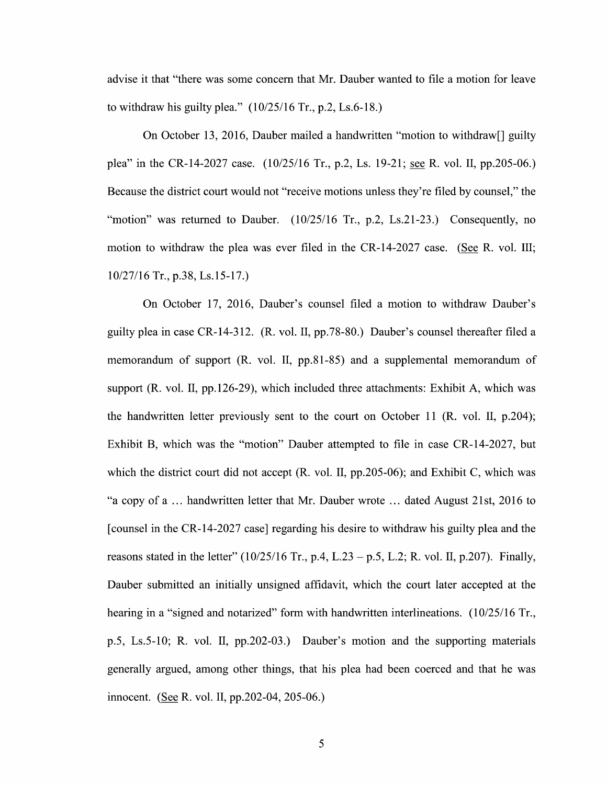advise it that "there was some concern that Mr. Dauber wanted to file a motion for leave to withdraw his guilty plea."  $(10/25/16$  Tr., p.2, Ls.6-18.)

On October 13, 2016, Dauber mailed a handwritten "motion to withdraw<sup>[]</sup> guilty plea" in the CR-14-2027 case. (10/25/16 Tr., p.2, Ls. 19-21; <u>see</u> R. vol. II, pp.205-06.) Because the district court would not "receive motions unless they're filed by counsel," the "motion" was returned to Dauber.  $(10/25/16$  Tr., p.2, Ls.21-23.) Consequently, no motion to withdraw the plea was ever filed in the CR-14-2027 case. (See R. vol. III; 10/27/16 Tr., p.38, Ls.15-17.)

On October 17, 2016, Dauber's counsel filed a motion to withdraw Dauber's guilty plea in case CR-14-312. (R. vol. II, pp.78-80.) Dauber's counsel thereafter filed a memorandum of support (R. vol. II, pp.81-85) and a supplemental memorandum of support (R. vol. II, pp.126-29), which included three attachments: Exhibit A, which was the handwritten letter previously sent to the court on October 11 (R. vol. II, p.204); Exhibit B, which was the "motion" Dauber attempted to file in case CR-14-2027, but which the district court did not accept  $(R. \text{ vol. II, pp.205-06})$ ; and Exhibit C, which was "a copy of a  $\ldots$  handwritten letter that Mr. Dauber wrote  $\ldots$  dated August 21st, 2016 to [counsel in the CR-14-2027 case] regarding his desire to withdraw his guilty plea and the reasons stated in the letter"  $(10/25/16 \text{ Tr.}, p.4, L.23 - p.5, L.2; R.$  vol. II, p.207). Finally, Dauber submitted an initially unsigned affidavit, Which the court later accepted at the hearing in a "signed and notarized" form with handwritten interlineations.  $(10/25/16 \text{ Tr.},$ p.5, Ls.5-10; R. V01. II, pp.202-03.) Dauber's motion and the supporting materials generally argued, among other things, that his plea had been coerced and that he was innocent. (See R. vol. II, pp. 202-04, 205-06.)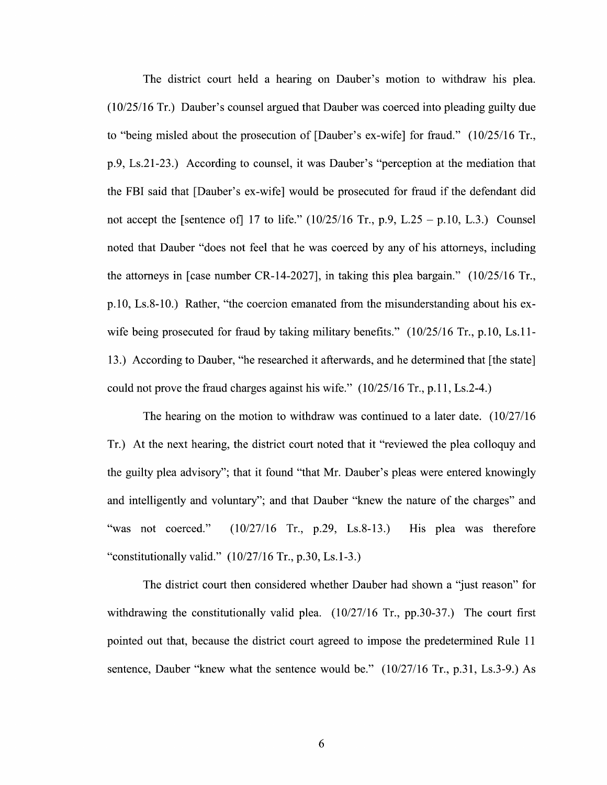The district court held a hearing on Dauber's motion to withdraw his plea. (10/25/16 Tr.) Dauber's counsel argued that Dauber was coerced into pleading guilty due to "being misled about the prosecution of [Dauber's ex-wife] for fraud."  $(10/25/16$  Tr., p.9, Ls.21-23.) According to counsel, it was Dauber's "perception at the mediation that the FBI said that [Dauber's eX-wife] would be prosecuted for fraud if the defendant did not accept the [sentence of] 17 to life."  $(10/25/16 \text{ Tr}, p.9, L.25 - p.10, L.3.)$  Counsel noted that Dauber "does not feel that he was coerced by any 0f his attorneys, including the attorneys in [case number CR-14-2027], in taking this plea bargain." {10/25/16 Tr., p.10, Ls.8-10.) Rather, "the coercion emanated from the misunderstanding about his exwife being prosecuted for fraud by taking military benefits."  $(10/25/16 \text{ Tr}., p.10, Ls.11-$ 13.) According to Dauber, "he researched it afterwards, and he determined that [the state] could not prove the fraud charges against his wife." (10/25/16 Tr., p.11, Ls.2-4.)

The hearing on the motion to withdraw was continued to a later date.  $(10/27/16$ Tr.) At the next hearing, the district court noted that it "reviewed the plea colloquy and the guilty plea advisory"; that it found "that Mr. Dauber's pleas were entered knowingly and intelligently and voluntary"; and that Dauber "knew the nature 0f the charges" and "was not coerced." {10/27/16 Tr., p.29, Ls.8-13.) His plea was therefore "constitutionally valid."  $(10/27/16 \text{ Tr.}, p.30, Ls.1-3.)$ 

The district court then considered whether Dauber had shown a "just reason" for withdrawing the constitutionally valid plea. (10/27/16 Tr., pp.30-37.) The court first pointed out that, because the district court agreed to impose the predetermined Rule 11 sentence, Dauber "knew What the sentence would be." (10/27/16 Tr., p.31, Ls.3-9.) As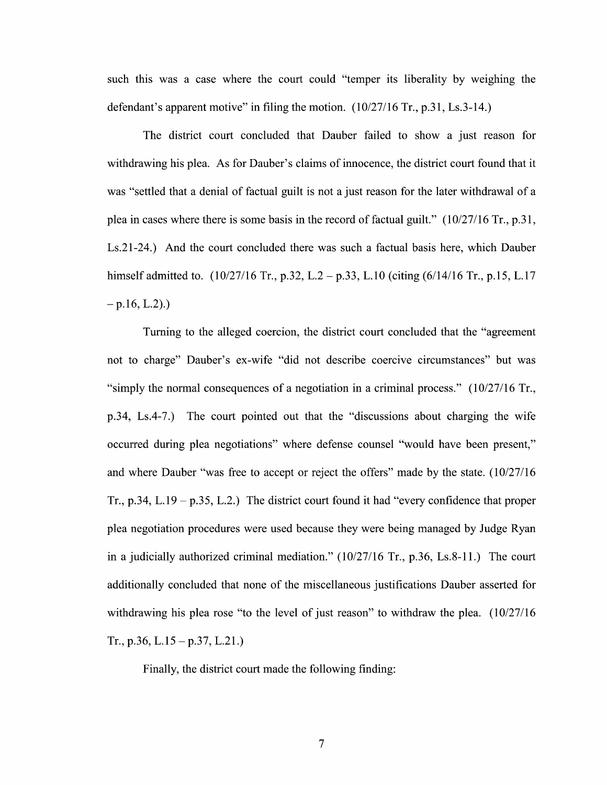such this was a case where the court could "temper its liberality by weighing the defendant's apparent motive" in filing the motion. (10/27/16 Tr., p.31, Ls.3-14.)

The district court concluded that Dauber failed to show a just reason for withdrawing his plea. As for Dauber's claims of innocence, the district court found that it was "settled that a denial of factual guilt is not a just reason for the later withdrawal of a plea in cases Where there is some basis in the record of factual guilt." (10/27/16 Tr., p.31, Ls.21-24.) And the court concluded there was such a factual basis here, which Dauber himself admitted to.  $(10/27/16 \text{ Tr}., p.32, L.2 - p.33, L.10 (citing (6/14/16 \text{ Tr}., p.15, L.17))$  $-p.16, L.2).$ 

Turning to the alleged coercion, the district court concluded that the "agreement not to charge" Dauber's ex-wife "did not describe coercive circumstances" but was "simply the normal consequences of a negotiation in a criminal process."  $(10/27/16 \text{ Tr.},$ p.34, Ls.4-7.) The court pointed out that the "discussions about charging the wife occurred during plea negotiations" where defense counsel "would have been present," and where Dauber "was free to accept or reject the offers" made by the state.  $(10/27/16$ Tr., p.34, L.19 – p.35, L.2.) The district court found it had "every confidence that proper plea negotiation procedures were used because they were being managed by Judge Ryan in a judicially authorized criminal mediation."  $(10/27/16$  Tr., p.36, Ls.8-11.) The court additionally concluded that none of the miscellaneous justifications Dauber asserted for withdrawing his plea rose "to the level of just reason" to withdraw the plea.  $(10/27/16$ Tr., p.36, L.15 – p.37, L.21.)

Finally, the district court made the following finding: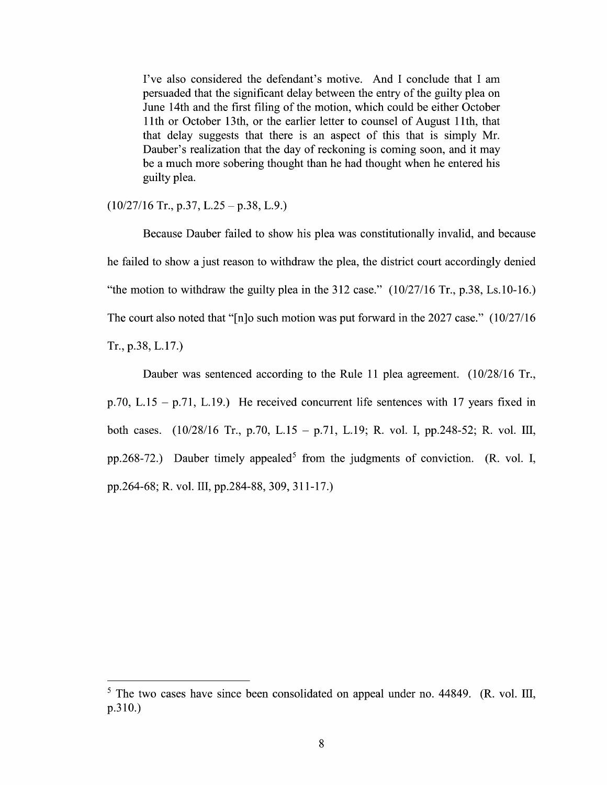I've also considered the defendant's motive. And I conclude that I am persuaded that the significant delay between the entry 0f the guilty plea on June 14th and the first filing 0f the motion, which could be either October 11th or October 13th, or the earlier letter to counsel of August 11th, that that delay suggests that there is an aspect 0f this that is simply Mr. Dauber's realization that the day of reckoning is coming soon, and it may be a much more sobering thought than he had thought when he entered his guilty plea.

#### $(10/27/16$  Tr., p.37, L.25 – p.38, L.9.)

Because Dauber failed to show his plea was constitutionally invalid, and because he failed to show a just reason to withdraw the plea, the district court accordingly denied "the motion to withdraw the guilty plea in the 312 case."  $(10/27/16 \text{ Tr.}, p.38, Ls.10-16.)$ The court also noted that "[n]o such motion was put forward in the 2027 case."  $(10/27/16$  $Tr., p.38, L.17.$ 

Dauber was sentenced according to the Rule 11 plea agreement.  $(10/28/16 \text{ Tr}$ , p.70, L.15 – p.71, L.19.) He received concurrent life sentences with 17 years fixed in both cases.  $(10/28/16 \text{ Tr}$ , p.70, L.15 – p.71, L.19; R. vol. I, pp.248-52; R. vol. III, pp.268-72.) Dauber timely appealed<sup>5</sup> from the judgments of conviction. (R. vol. I, pp.264—68; R. vol. 111, pp.284—88, 309, 31 1—17.)

 $5$  The two cases have since been consolidated on appeal under no. 44849. (R. vol. III, p.310.)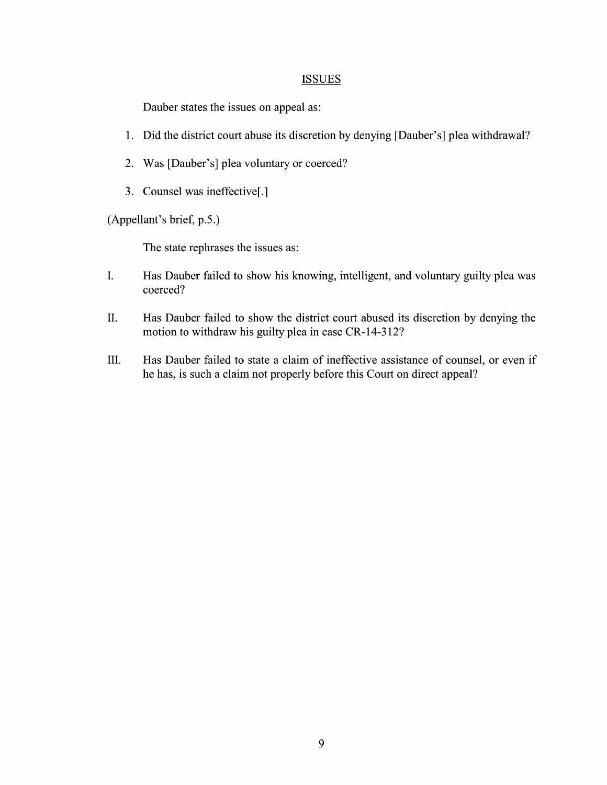#### **ISSUES**

Dauber states the issues on appeal as:

- 1. Did the district court abuse its discretion by denying [Dauber's] plea Withdrawal?
- 2. Was [Dauber's] plea voluntary or coerced?
- 3. Counsel was ineffective[.]

(Appellant's brief, p.5.)

The state rephrases the issues as:

- I. Has Dauber failed to show his knowing, intelligent, and voluntary guilty plea was coerced?
- II. Has Dauber failed to show the district court abused its discretion by denying the motion to withdraw his guilty plea in case CR-14-312?
- III. Has Dauber failed to state a claim of ineffective assistance of counsel, or even if he has, is such a claim not properly before this Court on direct appeal?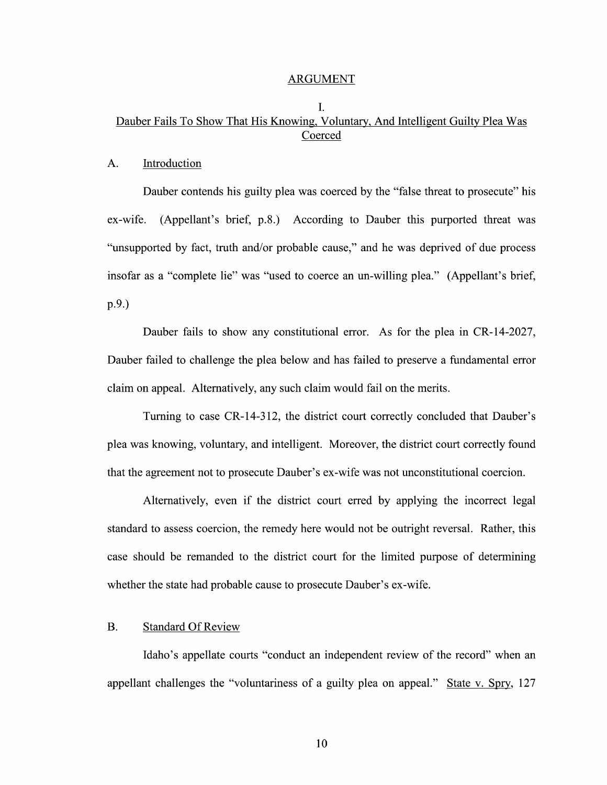#### ARGUMENT

### I. Dauber Fails T0 Show That His Knowing, Voluntary, And Intelligent Guilty Plea Was Coerced

#### A. Introduction

Dauber contends his guilty plea was coerced by the "false threat to prosecute" his ex-wife. (Appellant's brief, p.8.) According to Dauber this purported threat was "unsupported by fact, truth and/or probable cause," and he was deprived 0f due process insofar as a "complete lie" was "used to coerce an un-willing plea." (Appellant's brief, p.9.)

Dauber fails to show any constitutional error. As for the plea in CR-14-2027, Dauber failed to challenge the plea below and has failed to preserve a fundamental error claim 0n appeal. Alternatively, any such claim would fail 0n the merits.

Turning to case CR-14-312, the district court correctly concluded that Dauber's plea was knowing, voluntary, and intelligent. Moreover, the district court correctly found that the agreement not to prosecute Dauber's ex-wife was not unconstitutional coercion.

Alternatively, even if the district court erred by applying the incorrect legal standard to assess coercion, the remedy here would not be outright reversal. Rather, this case should be remanded to the district court for the limited purpose of determining whether the state had probable cause to prosecute Dauber's ex-wife.

#### B. Standard Of Review

Idaho's appellate courts "conduct an independent review 0f the record" when an appellant challenges the "voluntariness of a guilty plea on appeal." State v. Spry,  $127$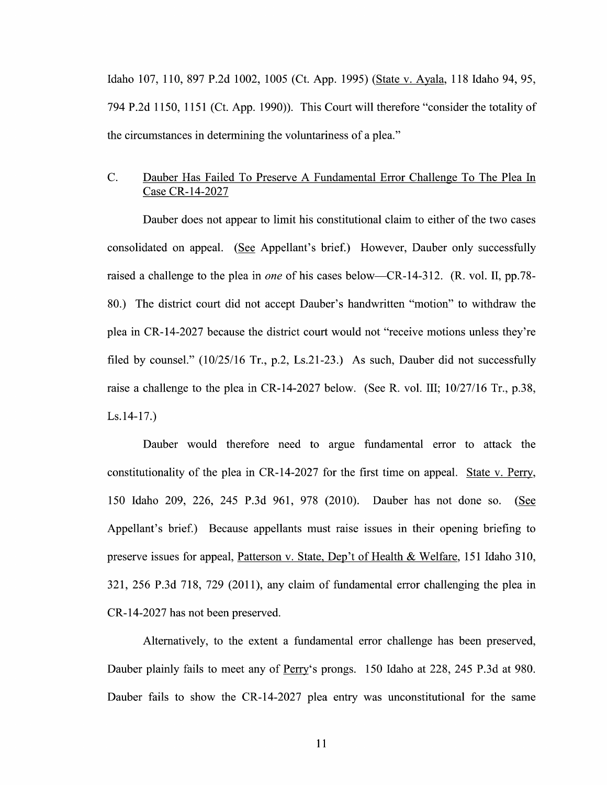Idaho 107, 110, 897 P.2d 1002, 1005 (Ct. App. 1995) (State V. Ayala, 118 Idaho 94, 95, 794 P.2d 1150, 1151 (Ct. App. 1990)). This Court will therefore "consider the totality of the circumstances in determining the voluntariness of a plea."

## C. Dauber Has Failed To Preserve A Fundamental Error Challenge To The Plea In Case CR-14-2027

Dauber does not appear to limit his constitutional claim to either of the two cases consolidated on appeal. (See Appellant's brief.) However, Dauber only successfully raised a challenge to the plea in *one* of his cases below—CR-14-312. (R. vol. II, pp.78-80.) The district court did not accept Dauber's handwritten "motion" to withdraw the plea in CR-14-2027 because the district court would not "receive motions unless they're filed by counsel." (10/25/16 Tr., p.2, Ls.21-23.) As such, Dauber did not successfully raise a challenge to the plea in CR-14-2027 below. (See R. vol. III;  $10/27/16$  Tr., p.38, Ls.14-17.)

Dauber would therefore need to argue fundamental error to attack the constitutionality of the plea in CR-14-2027 for the first time on appeal. State v. Perry, 150 Idaho 209, 226, 245 P.3d 961, 978 (2010). Dauber has not done so. (See Appellant's brief.) Because appellants must raise issues in their opening briefing to preserve issues for appeal, Patterson v. State, Dep't of Health & Welfare, 151 Idaho 310,  $321, 256$  P.3d  $718, 729$  (2011), any claim of fundamental error challenging the plea in CR-14-2027 has not been preserved.

Alternatively, to the extent a fundamental error challenge has been preserved, Dauber plainly fails to meet any of Perry's prongs. 150 Idaho at 228, 245 P.3d at 980. Dauber fails to show the CR-14-2027 plea entry was unconstitutional for the same

11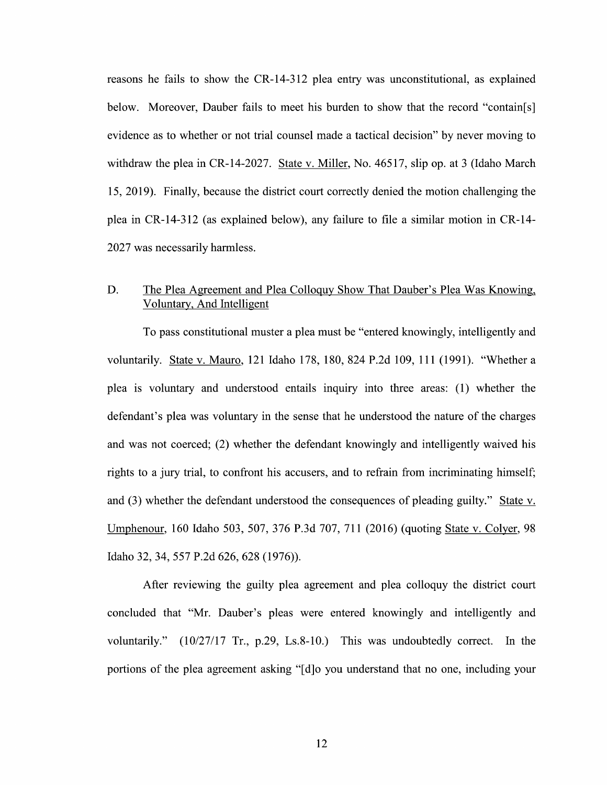reasons he fails to show the CR-14-312 plea entry was unconstitutional, as explained below. Moreover, Dauber fails to meet his burden to show that the record "contain[s] evidence as to whether or not trial counsel made a tactical decision" by never moving to withdraw the plea in CR-14-2027. State v. Miller, No.  $46517$ , slip op. at 3 (Idaho March 15, 2019). Finally, because the district court correctly denied the motion challenging the plea in CR-14-312 (as explained below), any failure to file a similar motion in CR-14-2027 was necessarily harmless.

## D. The Plea Agreement and Plea Colloquy Show That Dauber's Plea Was Knowing, Voluntary, And Intelligent

To pass constitutional muster a plea must be "entered knowingly, intelligently and voluntarily. State v. Mauro, 121 Idaho 178, 180, 824 P.2d 109, 111 (1991). "Whether a plea is voluntary and understood entails inquiry into three areas: (1) Whether the defendant's plea was voluntary in the sense that he understood the nature of the charges and was not coerced; (2) whether the defendant knowingly and intelligently waived his rights to a jury trial, to confront his accusers, and to refrain from incriminating himself; and (3) whether the defendant understood the consequences of pleading guilty." State v. Umphenour, <sup>160</sup> Idaho 503, 507, <sup>376</sup> P.3d 707, <sup>711</sup> (2016) (quoting State V. Colyer, <sup>98</sup> Idaho 32, 34, <sup>557</sup> P.2d 626, <sup>628</sup> (1976)).

After reviewing the guilty plea agreement and plea colloquy the district court concluded that "Mr. Dauber's pleas were entered knowingly and intelligently and voluntarily." (10/27/17 Tr., p.29, Ls.8—10.) This was undoubtedly correct. In the portions of the plea agreement asking "[d]o you understand that no one, including your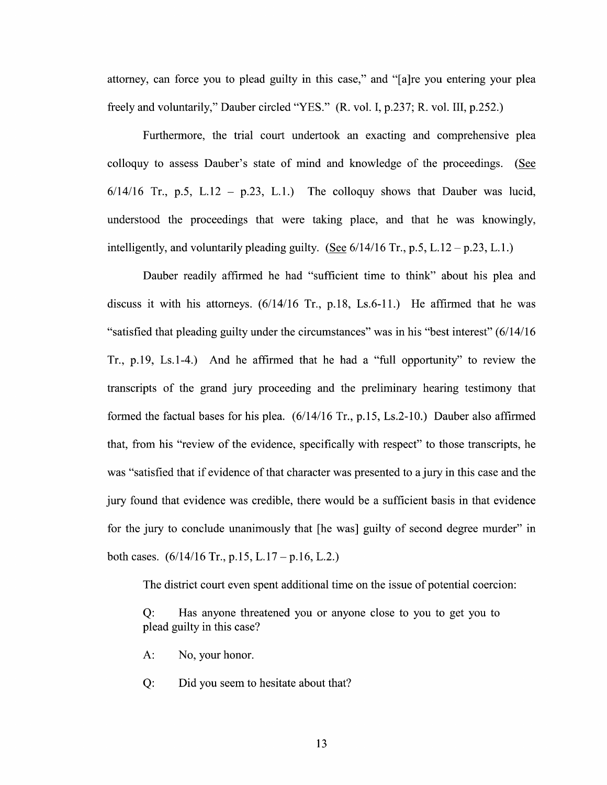attorney, can force you to plead guilty in this case," and "[a]re you entering your plea freely and voluntarily," Dauber circled "YES." (R. V01. I, p.237; R. V01. III, p.252.)

Furthermore, the trial court undertook an exacting and comprehensive plea colloquy to assess Dauber's state of mind and knowledge of the proceedings. (See  $6/14/16$  Tr., p.5, L.12 – p.23, L.1.) The colloquy shows that Dauber was lucid, understood the proceedings that were taking place, and that he was knowingly, intelligently, and voluntarily pleading guilty. (See  $6/14/16$  Tr., p.5, L. 12 – p.23, L.1.)

Dauber readily affirmed he had "sufficient time to think" about his plea and discuss it with his attorneys.  $(6/14/16$  Tr., p.18, Ls.6-11.) He affirmed that he was "satisfied that pleading guilty under the circumstances" was in his "best interest" (6/14/16) Tr.,  $p.19$ , Ls.1-4.) And he affirmed that he had a "full opportunity" to review the transcripts of the grand jury proceeding and the preliminary hearing testimony that formed the factual bases for his plea. (6/14/16 Tr., p.15, Ls.2-10.) Dauber also affirmed that, from his "review of the evidence, specifically with respect" to those transcripts, he was "satisfied that if evidence of that character was presented to a jury in this case and the jury found that evidence was credible, there would be sufficient basis in that evidence for the jury to conclude unanimously that [he was] guilty of second degree murder" in both cases.  $(6/14/16 \text{ Tr.}, p.15, L.17 - p.16, L.2.)$ 

The district court even spent additional time on the issue of potential coercion:

Q: Has anyone threatened you or anyone close to you to get you to plead guilty in this case?

- A: N0, your honor.
- Q: Did you seem to hesitate about that?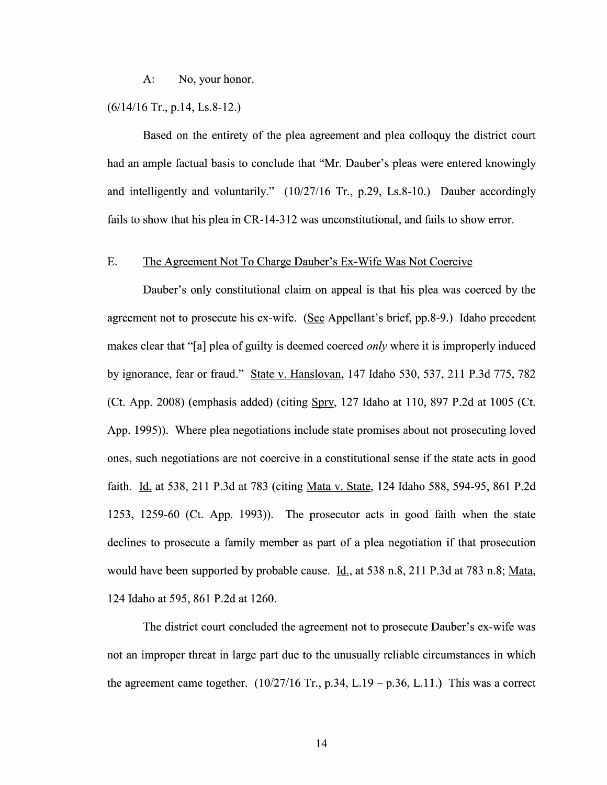A: No, your honor.

#### (6/14/16 Tr., p.14, Ls.8-12.)

Based on the entirety of the plea agreement and plea colloquy the district court had an ample factual basis to conclude that "Mr. Dauber's pleas were entered knowingly and intelligently and voluntarily." (10/27/16 Tr., p.29, Ls.8-10.) Dauber accordingly fails to show that his plea in CR-14-312 was unconstitutional, and fails to show error.

#### E. The Agreement Not T0 Charge Dauber's EX-Wife Was Not Coercive

Dauber's only constitutional claim 0n appeal is that his plea was coerced by the agreement not to prosecute his ex-wife. (See Appellant's brief, pp.8-9.) Idaho precedent makes clear that "[a] plea of guilty is deemed coerced *only* where it is improperly induced by ignorance, fear 0r fraud." State V. Hanslovan, <sup>147</sup> Idaho 530, 537, <sup>211</sup> P.3d 775, <sup>782</sup> (Ct. App. 2008) (emphasis added) (citing Spry, 127 Idaho at 110, 897 P.2d at 1005 (Ct. App. 1995)). Where plea negotiations include state promises about not prosecuting loved ones, such negotiations are not coercive in constitutional sense if the state acts in good faith. Id. at 538, 211 P.3d at 783 (citing Mata v. State, 124 Idaho 588, 594-95, 861 P.2d 1253, 1259-60 (Ct. App. 1993)). The prosecutor acts in good faith when the state declines to prosecute a family member as part of a plea negotiation if that prosecution would have been supported by probable cause. Id., at  $538$  n.8, 211 P.3d at  $783$  n.8; Mata, 124 Idaho at 595, 861 P.2d at 1260.

The district court concluded the agreement not to prosecute Dauber's ex-wife was not an improper threat in large part due to the unusually reliable circumstances in which the agreement came together.  $(10/27/16 \text{ Tr.}, p.34, L.19 - p.36, L.11.)$  This was a correct

14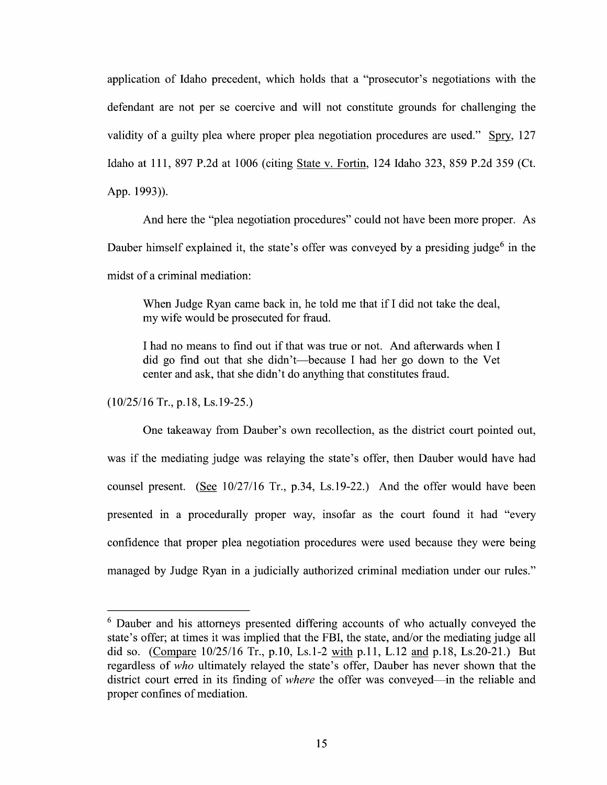application of Idaho precedent, which holds that a "prosecutor's negotiations with the defendant are not per se coercive and will not constitute grounds for challenging the validity of a guilty plea where proper plea negotiation procedures are used." Spry,  $127$ Idaho at 111, 897 P.2d at 1006 (citing State V. Fortin, 124 Idaho 323, 859 P.2d 359 (Ct. App. 1993)).

And here the "plea negotiation procedures" could not have been more proper. As Dauber himself explained it, the state's offer was conveyed by a presiding judge<sup>6</sup> in the midst of a criminal mediation:

When Judge Ryan came back in, he told me that if  $I$  did not take the deal, my wife would be prosecuted for fraud.

I had no means to find out if that was true or not. And afterwards when I did go find out that she didn't—because I had her go down to the Vet center and ask, that she didn't do anything that constitutes fraud.

(10/25/16 Tr., p.18, Ls.19-25.)

One takeaway from Dauber's own recollection, as the district court pointed out, was if the mediating judge was relaying the state's offer, then Dauber would have had counsel present. (See  $10/27/16$  Tr., p.34, Ls.19-22.) And the offer would have been presented in a procedurally proper way, insofar as the court found it had "every confidence that proper plea negotiation procedures were used because they were being managed by Judge Ryan in a judicially authorized criminal mediation under our rules."

Dauber and his attorneys presented differing accounts of who actually conveyed the state's offer; at times it was implied that the FBI, the state, and/or the mediating judge all did so. (Compare  $10/25/16$  Tr., p.10, Ls.1-2 with p.11, L.12 and p.18, Ls.20-21.) But regardless of *who* ultimately relayed the state's offer, Dauber has never shown that the did so. (Compare 10/25/16 1r., p.10, Ls.1-2 with p.11, L.12 and p.18, Ls.20-21.) But<br>regardless of *who* ultimately relayed the state's offer, Dauber has never shown that the<br>district court erred in its finding of *where* proper confines of mediation.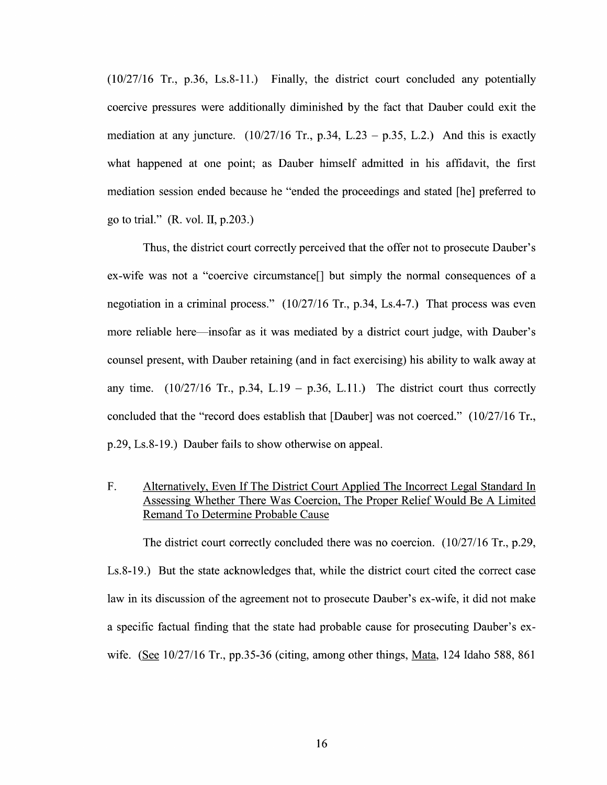$(10/27/16$  Tr., p.36, Ls.8-11.) Finally, the district court concluded any potentially coercive pressures were additionally diminished by the fact that Dauber could exit the mediation at any juncture.  $(10/27/16 \text{ Tr}$ , p.34, L.23 – p.35, L.2.) And this is exactly what happened at one point; as Dauber himself admitted in his affidavit, the first mediation session ended because he "ended the proceedings and stated [he] preferred to go to trial." (R. V01. II, p.203.)

Thus, the district court correctly perceived that the offer not to prosecute Dauber's ex-wife was not a "coercive circumstance<sup>[]</sup> but simply the normal consequences of a negotiation in a criminal process."  $(10/27/16$  Tr., p.34, Ls.4-7.) That process was even more reliable here—insofar as it was mediated by a district court judge, with Dauber's counsel present, with Dauber retaining (and in fact exercising) his ability to walk away at any time.  $(10/27/16$  Tr., p.34, L.19 – p.36, L.11.) The district court thus correctly concluded that the "record does establish that [Dauber] was not coerced."  $(10/27/16 \text{ Tr.})$ p.29, Ls.8-19.) Dauber fails t0 show otherwise on appeal.

F. Alternatively, Even If The District Court Applied The Incorrect Legal Standard In Assessing Whether There Was Coercion, The Proper Relief Would Be A Limited Remand To Determine Probable Cause

The district court correctly concluded there was no coercion.  $(10/27/16 \text{ Tr}, p.29,$ Ls.8-19.) But the state acknowledges that, while the district court cited the correct case law in its discussion of the agreement not to prosecute Dauber's ex-wife, it did not make a specific factual finding that the state had probable cause for prosecuting Dauber's exwife. (See 10/27/16 Tr., pp.35-36 (citing, among other things, Mata, 124 Idaho 588, 861)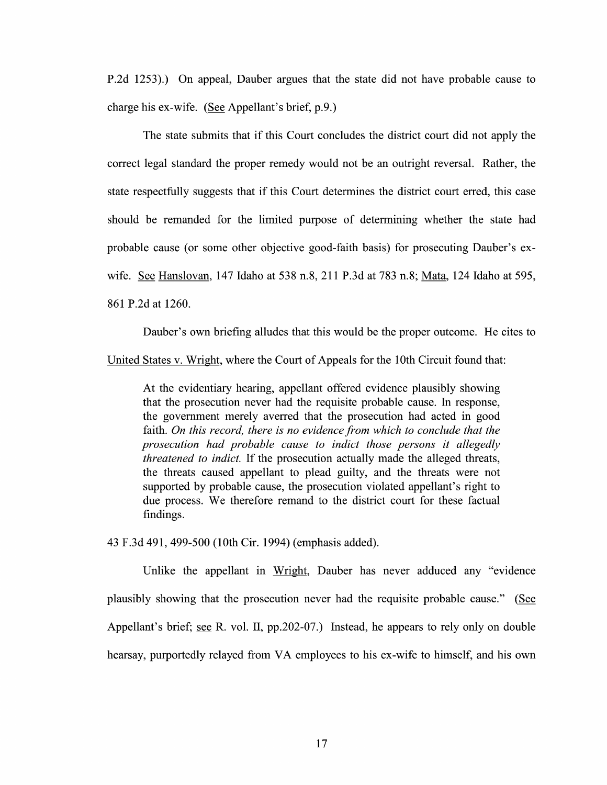P.2d 1253).) On appeal, Dauber argues that the state did not have probable cause t0 charge his ex-wife. (See Appellant's brief,  $p.9.$ )

The state submits that if this Court concludes the district court did not apply the correct legal standard the proper remedy would not be an outright reversal. Rather, the state respectfully suggests that if this Court determines the district court erred, this case should be remanded for the limited purpose of determining Whether the state had probable cause (0r some other objective good-faith basis) for prosecuting Dauber's exwife. See Hanslovan, 147 Idaho at 538 n.8, 211 P.3d at 783 n.8; Mata, 124 Idaho at 595, 861 P.2d at 1260.

Dauber's own briefing alludes that this would be the proper outcome. He cites to

United States V. Wright, where the Court 0f Appeals for the 10th Circuit found that:

At the evidentiary hearing, appellant offered evidence plausibly showing that the prosecution never had the requisite probable cause. In response, the government merely averred that the prosecution had acted in good faith. On this record, there is no evidence from which to conclude that the prosecution had probable cause to indict those persons it allegedly threatened to indict. If the prosecution actually made the alleged threats, the threats caused appellant to plead guilty, and the threats were not supported by probable cause, the prosecution violated appellant's right to due process. We therefore remand to the district court for these factual findings.

43 F.3d 491, 499-500 (10th Cir. 1994) (emphasis added).

Unlike the appellant in Wright, Dauber has never adduced any "evidence plausibly showing that the prosecution never had the requisite probable cause." (E Appellant's brief; see R. vol. II,  $pp.202-07$ .) Instead, he appears to rely only on double hearsay, purportedly relayed from VA employees to his ex-wife to himself, and his own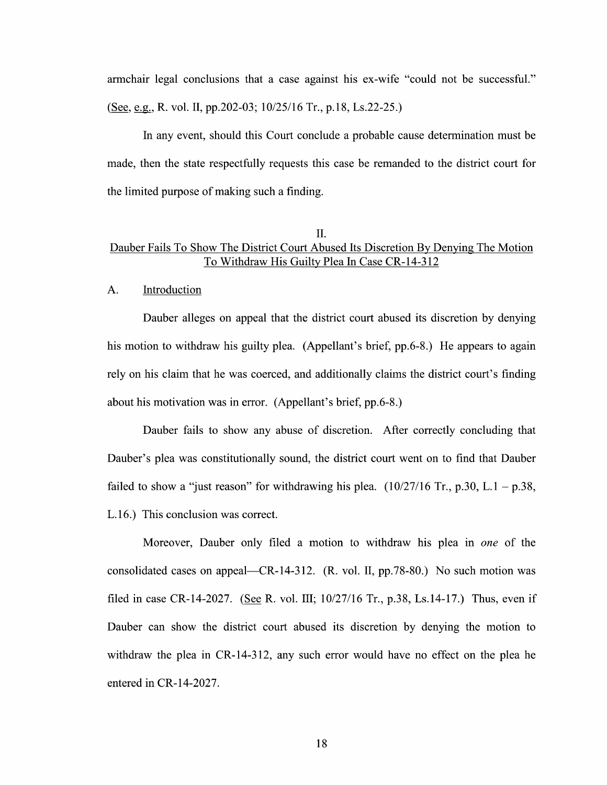armchair legal conclusions that a case against his ex-wife "could not be successful." (See, e.g., R. vol. II, pp.202-03;  $10/25/16$  Tr., p.18, Ls.22-25.)

In any event, should this Court conclude a probable cause determination must be made, then the state respectfully requests this case be remanded to the district court for the limited purpose of making such a finding.

#### II.

## Dauber Fails To Show The District Court Abused Its Discretion By Denying The Motion T0 Withdraw His Guilty Plea In Case CR-14-3 12

#### A. Introduction

Dauber alleges on appeal that the district court abused its discretion by denying his motion to withdraw his guilty plea. (Appellant's brief, pp.6-8.) He appears to again rely on his claim that he was coerced, and additionally claims the district court's finding about his motivation was in error. (Appellant's brief, pp.6-8.)

Dauber fails to show any abuse of discretion. After correctly concluding that Dauber's plea was constitutionally sound, the district court went on to find that Dauber failed to show a "just reason" for withdrawing his plea.  $(10/27/16 \text{ Tr}, p.30, L.1 - p.38,$ L.16.) This conclusion was correct.

Moreover, Dauber only filed a motion to withdraw his plea in one of the consolidated cases on appeal—CR-14-312. (R. V01. II, pp.78-80.) N0 such motion was filed in case CR-14-2027. (See R. vol. III;  $10/27/16$  Tr., p.38, Ls.14-17.) Thus, even if Dauber can show the district court abused its discretion by denying the motion to withdraw the plea in CR-14-312, any such error would have no effect on the plea he entered in CR-14-2027.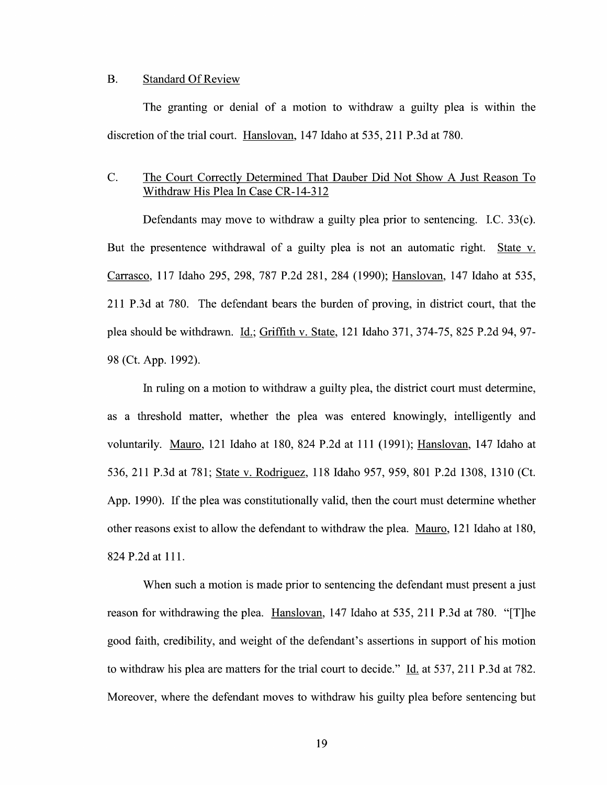#### B. Standard Of Review

The granting or denial of a motion to withdraw a guilty plea is within the discretion of the trial court. Hanslovan, <sup>147</sup> Idaho at 535, 211 P.3d at 780.

## C. The Court Correctly Determined That Dauber Did Not Show A Just Reason To Withdraw His Plea In Case CR-14-3 12

Defendants may move to withdraw a guilty plea prior to sentencing. I.C.  $33(c)$ . But the presentence withdrawal of a guilty plea is not an automatic right. State v. Carrasco, 117 Idaho 295, 298, 787 P.2d 281, 284 (1990); Hanslovan, 147 Idaho at 535, 211 P.3d at 780. The defendant bears the burden of proving, in district court, that the plea should be withdrawn. *Id.*; Griffith v. State, 121 Idaho 371, 374-75, 825 P.2d 94, 97-98 (Ct. App. 1992).

In ruling on a motion to withdraw a guilty plea, the district court must determine, as a threshold matter, whether the plea was entered knowingly, intelligently and voluntarily. Mauro, 121 Idaho at 180, 824 P.2d at 111 (1991); <u>Hanslovan</u>, 147 Idaho at<br>536, 211 P.3d at 781; <u>State v. Rodriguez</u>, 118 Idaho 957, 959, 801 P.2d 1308, 1310 (Ct. App. 1990). If the plea was constitutionally valid, then the court must determine whether other reasons exist to allow the defendant t0 withdraw the plea. Mauro, 121 Idaho at 180, 824 P.2d at 111.

When such a motion is made prior to sentencing the defendant must present a just reason for withdrawing the plea. Hanslovan, 147 Idaho at 535, 211 P.3d at 780. "[T]he good faith, credibility, and weight of the defendant's assertions in support of his motion to withdraw his plea are matters for the trial court to decide." Id. at 537, 211 P.3d at 782. Moreover, where the defendant moves to withdraw his guilty plea before sentencing but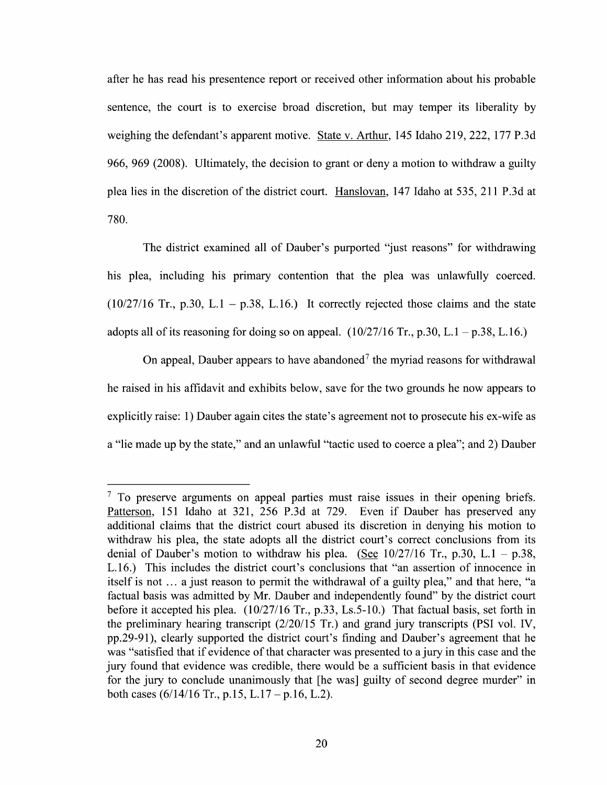after he has read his presentence report or received other information about his probable sentence, the court is to exercise broad discretion, but may temper its liberality by weighing the defendant's apparent motive. State v. Arthur, 145 Idaho 219, 222, 177 P.3d 966, 969 (2008). Ultimately, the decision to grant or deny a motion to withdraw a guilty plea lies in the discretion 0f the district court. Hanslovan, 147 Idaho at 535, 211 P.3d at 780.

The district examined all of Dauber's purported "just reasons" for withdrawing his plea, including his primary contention that the plea was unlawfully coerced.  $(10/27/16$  Tr., p.30, L.1 – p.38, L.16.) It correctly rejected those claims and the state adopts all of its reasoning for doing so on appeal.  $(10/27/16 \text{ Tr}$ , p.30, L.1 – p.38, L.16.)

On appeal, Dauber appears to have abandoned<sup>7</sup> the myriad reasons for withdrawal he raised in his affidavit and exhibits below, save for the two grounds he now appears to explicitly raise: 1) Dauber again cites the state's agreement not to prosecute his ex-wife as a "lie made up by the state," and an unlawful "tactic used to coerce a plea"; and 2) Dauber

 $7$  To preserve arguments on appeal parties must raise issues in their opening briefs. Patterson, 151 Idaho at 321, 256 P.3d at 729. Even if Dauber has preserved any additional claims that the district court abused its discretion in denying his motion to withdraw his plea, the state adopts all the district court's correct conclusions from its denial of Dauber's motion to withdraw his plea. (See  $10/27/16$  Tr., p.30, L.1 – p.38, L.16.) This includes the district court's conclusions that "an assertion 0f innocence in itself is not ... a just reason to permit the withdrawal of a guilty plea," and that here, "a factual basis was admitted by Mr. Dauber and independently found" by the district court before it accepted his plea. (10/27/16 Tr., p.33, Ls.5-10.) That factual basis, set forth in the preliminary hearing transcript (2/20/15 Tr.) and grand jury transcripts (PSI V01. IV, pp.29-91), clearly supported the district court's finding and Dauber's agreement that he was "satisfied that if evidence of that character was presented to a jury in this case and the jury found that evidence was credible, there would be a sufficient basis in that evidence for the jury to conclude unanimously that [he was] guilty of second degree murder" in both cases  $(6/14/16$  Tr., p.15, L.17 – p.16, L.2).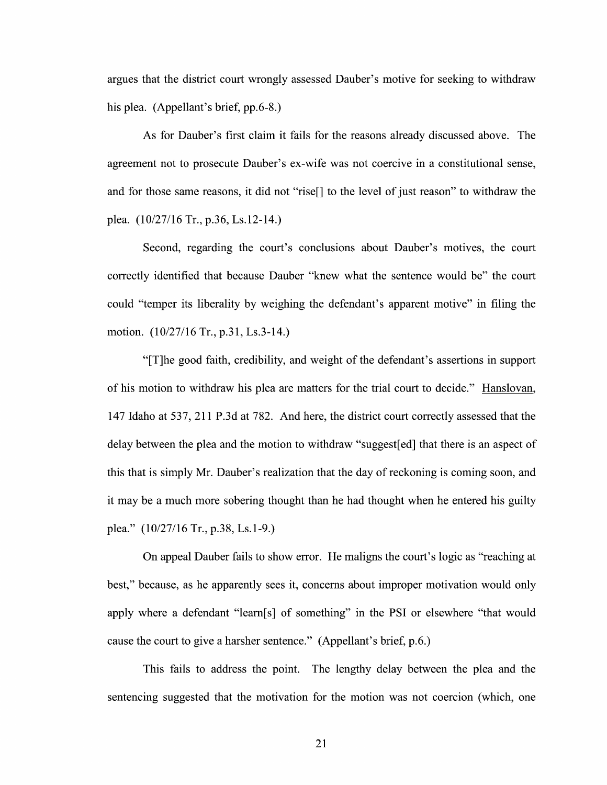argues that the district court wrongly assessed Dauber's motive for seeking to withdraw his plea. (Appellant's brief, pp.6-8.)

As for Dauber's first claim it fails for the reasons already discussed above. The agreement not to prosecute Dauber's ex-wife was not coercive in a constitutional sense, and for those same reasons, it did not "rise<sup>[]</sup> to the level of just reason" to withdraw the plea. (10/27/16 Tr., p.36, Ls.12-14.)

Second, regarding the court's conclusions about Dauber's motives, the court correctly identified that because Dauber "knew what the sentence would be" the court could "temper its liberality by weighing the defendant's apparent motive" in filing the motion. (10/27/16 Tr., p.31, Ls.3-14.)

"[T]he good faith, credibility, and weight of the defendant's assertions in support of his motion to withdraw his plea are matters for the trial court to decide." Hanslovan, 147 Idaho at 537, 211 P.3d at 782. And here, the district court correctly assessed that the delay between the plea and the motion to withdraw "suggest[ed] that there is an aspect of this that is simply Mr. Dauber's realization that the day 0f reckoning is coming soon, and it may be a much more sobering thought than he had thought when he entered his guilty plea." (10/27/16 Tr., p.38, Ls.1-9.)

On appeal Dauber fails t0 show error. He maligns the court's logic as "reaching at best," because, as he apparently sees it, concerns about improper motivation would only apply where a defendant "learn[s] of something" in the PSI or elsewhere "that would cause the court to give a harsher sentence." (Appellant's brief, p.6.)

This fails to address the point. The lengthy delay between the plea and the sentencing suggested that the motivation for the motion was not coercion (which, one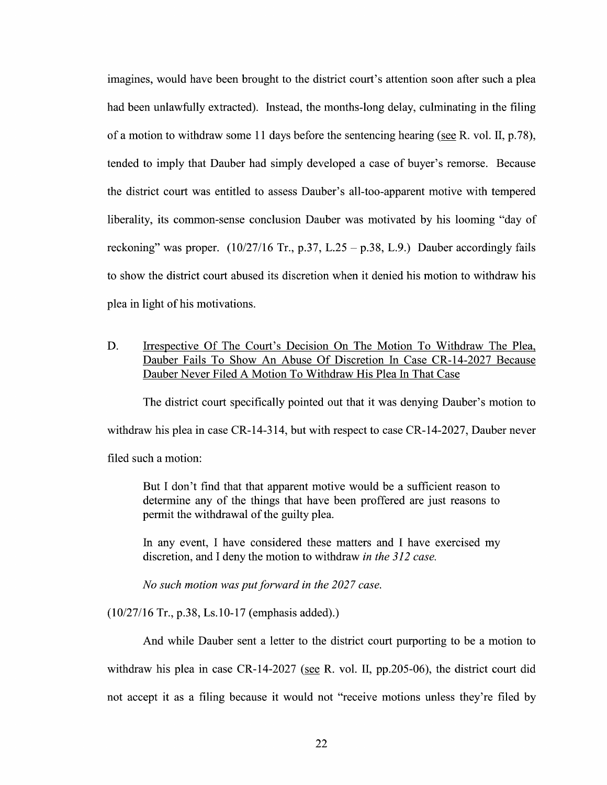imagines, would have been brought to the district court's attention soon after such a plea had been unlawfully extracted). Instead, the months-long delay, culminating in the filing of a motion to withdraw some 11 days before the sentencing hearing (see R. vol. II, p.78), tended to imply that Dauber had simply developed a case of buyer's remorse. Because the district court was entitled to assess Dauber's all-too-apparent motive with tempered liberality, its common-sense conclusion Dauber was motivated by his looming "day of reckoning" was proper.  $(10/27/16$  Tr., p.37, L.25 – p.38, L.9.) Dauber accordingly fails to show the district court abused its discretion when it denied his motion to withdraw his plea in light of his motivations.

D. Irrespective Of The Court's Decision On The Motion To Withdraw The Plea, Dauber Fails To Show An Abuse Of Discretion In Case CR-14-2027 Because Dauber Never Filed A Motion To Withdraw His Plea In That Case

The district court specifically pointed out that it was denying Dauber's motion to withdraw his plea in case  $CR-14-314$ , but with respect to case  $CR-14-2027$ , Dauber never filed such a motion:

But I don't find that that apparent motive would be a sufficient reason to determine any of the things that have been proffered are just reasons to permit the Withdrawal of the guilty plea.

In any event, I have considered these matters and I have exercised my discretion, and I deny the motion to withdraw in the 312 case.

No such motion was put forward in the 2027 case.

(10/27/16 Tr., p.38, Ls.10-17 (emphasis added).)

And while Dauber sent a letter to the district court purporting to be a motion to withdraw his plea in case CR-14-2027 (see R. vol. II, pp.205-06), the district court did not accept it as filing because it would not "receive motions unless they're filed by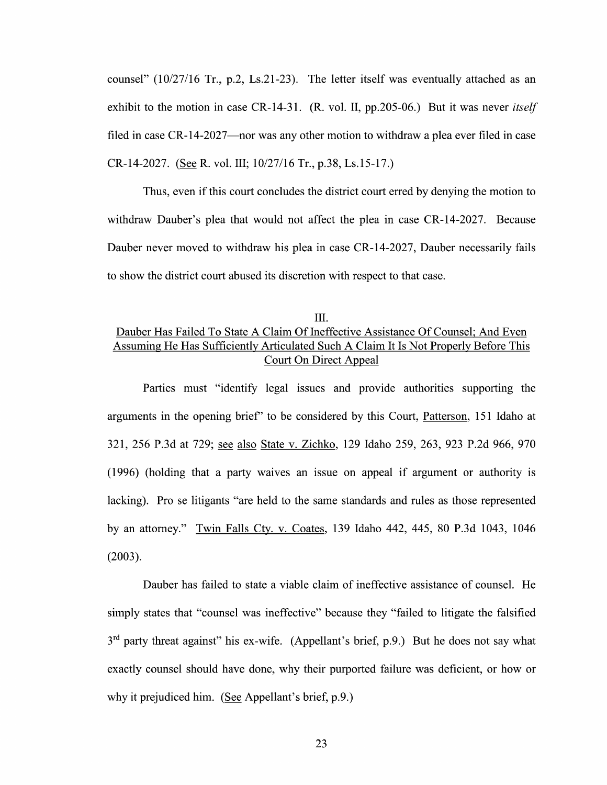counsel" (10/27/16 Tr., p.2, Ls.21-23). The letter itself was eventually attached as an exhibit to the motion in case CR-14-31. (R. vol. II, pp. 205-06.) But it was never *itself* filed in case CR-14-2027—nor was any other motion to withdraw a plea ever filed in case CR-14-2027. (See R. vol. III; 10/27/16 Tr., p.38, Ls.15-17.)

Thus, even if this court concludes the district court erred by denying the motion to withdraw Dauber's plea that would not affect the plea in case CR-14-2027. Because Dauber never moved to withdraw his plea in case CR-14-2027, Dauber necessarily fails to show the district court abused its discretion With respect to that case.

## III. Dauber Has Failed To State A Claim Of Ineffective Assistance Of Counsel; And Even Assuming He Has Sufficiently Articulated Such A Claim It Is Not Properly Before This Court On Direct Appeal

Parties must "identify legal issues and provide authorities supporting the arguments in the opening brief" to be considered by this Court, Patterson, 151 Idaho at 321, 256 P.3d at 729; see also State v. Zichko, 129 Idaho 259, 263, 923 P.2d 966, 970  $(1996)$  (holding that a party waives an issue on appeal if argument or authority is lacking). Pro se litigants "are held to the same standards and rules as those represented by an attorney." Twin Falls Ctv. V. Coates, 139 Idaho 442, 445, 80 P.3d 1043, 1046 (2003).

Dauber has failed to state a viable claim of ineffective assistance of counsel. He simply states that "counsel was ineffective" because they "failed to litigate the falsified  $3<sup>rd</sup>$  party threat against" his ex-wife. (Appellant's brief, p.9.) But he does not say what exactly counsel should have done, Why their purported failure was deficient, or how or why it prejudiced him. (See Appellant's brief,  $p.9$ .)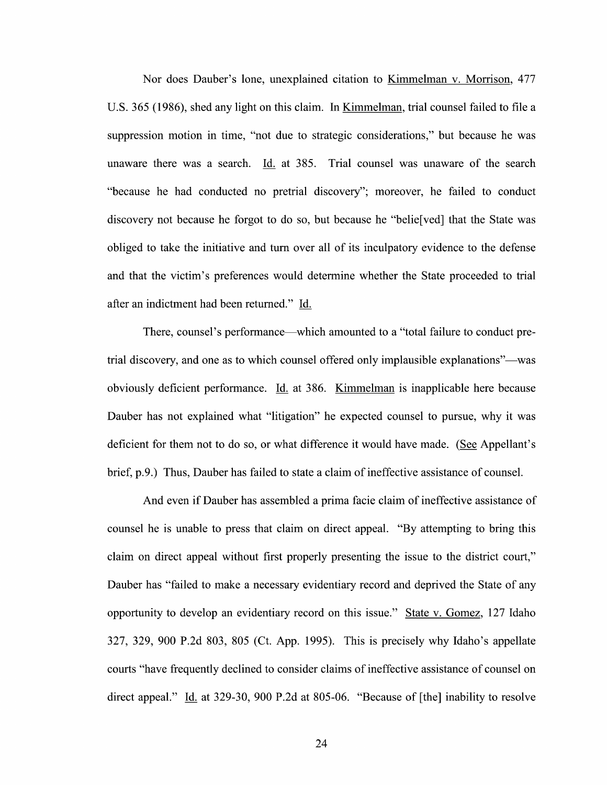Nor does Dauber's lone, unexplained citation to Kimmelman V. Morrison, 477 U.S. 365 (1986), shed any light on this claim. In Kimmelman, trial counsel failed to file a suppression motion in time, "not due t0 strategic considerations," but because he was unaware there was a search. Id. at 385. Trial counsel was unaware of the search "because he had conducted no pretrial discovery"; moreover, he failed to conduct discovery not because he forgot t0 do so, but because he "belie[ved] that the State was obliged to take the initiative and turn over all 0f its inculpatory evidence to the defense and that the Victim's preferences would determine whether the State proceeded t0 trial after an indictment had been returned." Id.

There, counsel's performance—which amounted to a "total failure to conduct pretrial discovery, and one as to which counsel offered only implausible explanations"—was obviously deficient performance. Li. at 386. Kimmelman is inapplicable here because Dauber has not explained what "litigation" he expected counsel to pursue, why it was deficient for them not to do so, or what difference it would have made. (See Appellant's brief,  $p.9$ .) Thus, Dauber has failed to state a claim of ineffective assistance of counsel.

And even if Dauber has assembled a prima facie claim of ineffective assistance of counsel he is unable to press that claim on direct appeal. "By attempting to bring this claim 0n direct appeal Without first properly presenting the issue to the district court," Dauber has "failed to make a necessary evidentiary record and deprived the State of any opportunity to develop an evidentiary record on this issue." State v. Gomez, 127 Idaho 327, 329, <sup>900</sup> P.2d 803, <sup>805</sup> (Ct. App. 1995). This is precisely Why Idaho's appellate courts "have frequently declined to consider claims of ineffective assistance of counsel on direct appeal."  $\underline{Id}$  at 329-30, 900 P.2d at 805-06. "Because of [the] inability to resolve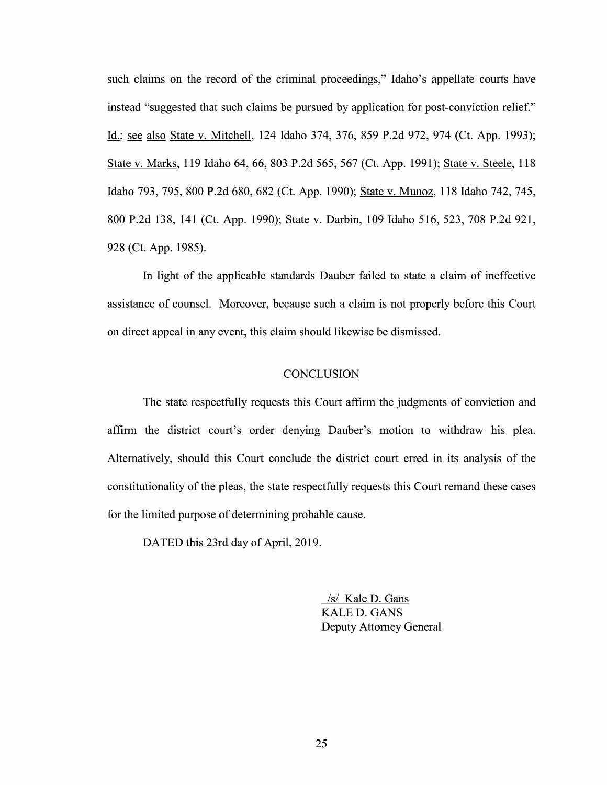such claims on the record of the criminal proceedings," Idaho's appellate courts have instead "suggested that such claims be pursued by application for post-conviction relief." Id.; see also State v. Mitchell, 124 Idaho 374, 376, 859 P.2d 972, 974 (Ct. App. 1993); State v. Marks, 119 Idaho 64, 66, 803 P.2d 565, 567 (Ct. App. 1991); State v. Steele, 118 Idaho 793, 795, <sup>800</sup> P.2d 680, <sup>682</sup> (Ct. App. 1990); State V. Munoz, <sup>118</sup> Idaho 742, 745, 800 P.2d 138, 141 (Ct. App. 1990); State V. Darbin, 109 Idaho 516, 523, 708 P.2d 921, 928 (Ct. App. 1985).

In light of the applicable standards Dauber failed to state a claim of ineffective assistance of counsel. Moreover, because such a claim is not properly before this Court on direct appeal in any event, this claim should likewise be dismissed.

#### **CONCLUSION**

The state respectfully requests this Court affirm the judgments of conviction and affirm the district court's order denying Dauber's motion to withdraw his plea. Alternatively, should this Court conclude the district court erred in its analysis of the constitutionality of the pleas, the state respectfully requests this Court remand these cases for the limited purpose of determining probable cause.

DATED this 23rd day of April, 2019.

/s/ Kale D. Gans KALE D. GANS Deputy Attorney General